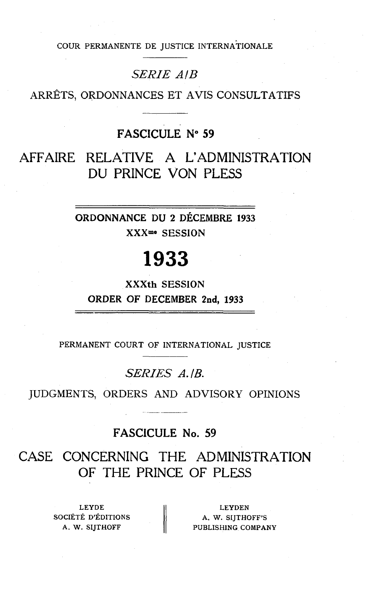COUR PERMANENTE DE JUSTICE INTERNATIONALE

### *SERIE AIB*

ARRÊTS, ORDONNANCES ET AVIS CONSULTATIFS

## FASCICULE **No** 59

AFFAIRE RELATIVE A L'ADMINISTRATION DU PRINCE VON PLESS

> ORDONNANCE DU 2 DÉCEMBRE 1933 **XXXme** SESSION

# 1933

**XXXth** SESSION ORDER OF DECEMBER **Znd,** 1933

PERMANENT COURT OF INTERNATIONAL JUSTICE

## *SERrES A.IB.*

JUDGMENTS, ORDERS AND ADVISORY OPINIONS

## FASCICULE No. 59

CASE CONCERNING THE ADMINISTRATION OF THE PRINCE OF PLESS

> LEYDE SOCIÉTÉ D'ÉDITIONS A. W. SIITHOFF

LEYDEN A. W. SIJTHOFF'S PUBLISHING **COMPANY**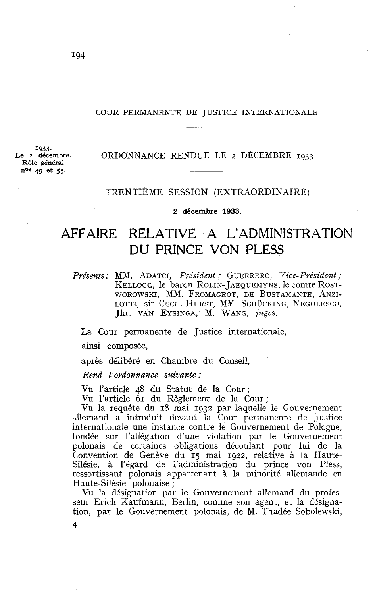#### COUR PERMANENTE DE JUSTICE INTERNATIONALE

**1933.**<br>**Le 2** décembre. **R61e** général nos **49** et 55.

#### **Le 2** décembre. ORDONNANCE RENDUE LE 2 DÉCEMBRE **1933**

#### TRENTIÈME SESSION (EXTRAORDINAIRE)

**2 décembre 1933.** 

# AFFAIRE RELATIVE A L'ADMINISTRATION DU PRINCE VON PLESS

Présents: MM. ADATCI, Président ; GUERRERO, Vice-Président ; KELLOGG, le baron ROLIN- JAEQUEMYNS. le comte ROST-WOROWSKI, MM. FROMAGEOT, DE BUSTAMANTE, ANZI-LOTTI, SIT CECIL HURST, MM. SCHÜCKING, NEGULESCO, Jhr. VAN EYSINGA, M. WANG, juges.

La Cour permanente de Justice internationale,

ainsi composée,

**4** 

après délibéré en Chambre du Conseil,

Rend I'ovdonnance suivante :

Vu l'article 48 du Statut de la Cour;

Vu l'article 61 du Règlement de la Cour;

Vu la requête du 18 mai 1932 par laquelle le Gouvernement allemand a introduit devant la Cour permanente de Justice internationale une instance contre le Gouvernement de Pologne, fondée sur l'allégation d'une violation par le Gouvernement polonais de certaines obligations découlant pour lui de la Convention de Genève du 15 mai 1922, relative à la Haute-Silésie, à l'égard de l'administration du prince von Pless, ressortissant polonais appartenant à la minorité allemande en Haute-Silésie polonaise ;

Vu la désignation par le Gouvernement allemand du professeur Erich Kaufmann, Berlin, comme son agent, et la désignation, par le Gouvernement polonais, de M. Thadée Sobolewski,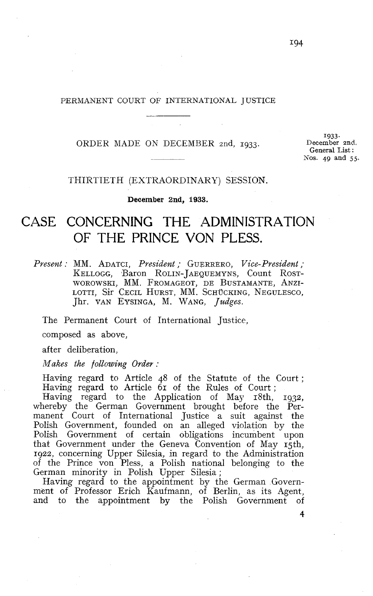#### PERMANENT COURT OF INTERNATIONAL JUSTICE

ORDER XIADE ON DECEMBER 2nd, **1933.** 

**1933**  December **2nd.**  General List : Nos. **49 and** 55.

THIRTIETH (EXTRAORDINAKY) SESSION.

**December 2nd, 1933.** 

## CASE CONCERNING THE ADMINISTRATION OF THE PRINCE VON PLESS.

*Present* : MM. ADATCI, *President* ; GUERRERO, *Vice-President* ; KELLOGG, Baron ROLIN-JAEQUEMYNS, Count ROST-WOROWSKI, MM. FROMAGEOT, DE BUSTAMANTE, ANZI-LOTTI, Sir Cecil Hurst, MM. Schücking, Negulesco, Jhr. VAN EYSINGA, M. WANG, *Judges.* 

The Permanent Court of International Justice,

composed as above,

after deliberation,

*Makes the following Order* :

Having regard to Article 48 of the Statute of the Court ; Having regard to Article  $6r$  of the Rules of Court;

Having regard to the Application of May 18th, 1932, whereby the German Government brought before the Permanent Court of International Justice a suit against the Polish Government, founded on an alleged violation by the Polish Government of certain obligations incumbent upon that Government under the Geneva Convention of May 15th, 1922, concerning Upper Silesia, in regard to the Administration of the Prince von Pless, a Polish national belonging to the German minority in Polish Upper Silesia;

Having regard to the appointment by the German Government of Professor Erich Kaufmann, of Berlin, as its Agent, and to the appointment by the Polish Government of

**4**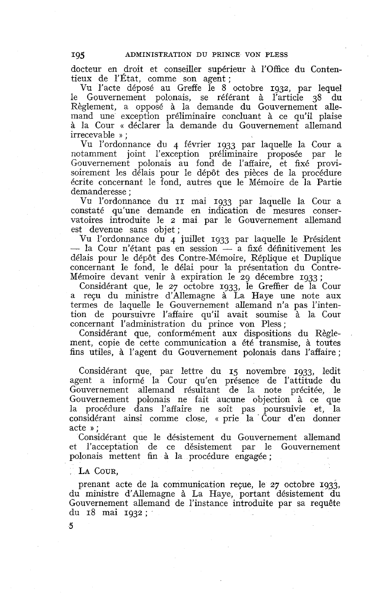docteur en droit et conseiller supérieur à l'Office du Contentieux de l'État, comme son agent ;

Vu l'acte déposé au Greffe le S octobre **1932,** par lequel le Gouvernement polonais, se référant à l'article **38** du Règlement, a opposé à la demande du Gouvernement alle mand une exception préliminaire concluant à ce qu'il plaise à la Cour « déclarer la demande du Gouvernement allemand irrecevable » ;

Vu l'ordonnance dii 4 février **1933** par laquelle la Cour a notamment joint l'exception préliminaire proposée par le Gouvernement polonais au fond de l'affaire, et fixé provisoirement les délais pour le dépôt des pièces de la procédure écrite concernant le fond, autres que le Mémoire de la Partie demanderesse ;

Vu l'ordonnance du II mai **1933** par laquelle la Cour a constaté qu'une demande en indication de mesures conservatoires introduite le 2 mai par le Gouvernement allemand est devenue sans objet;

Vu l'ordonnance du 4 juillet **1933** par laquelle le Président est devenue sans objet;<br>
Vu l'ordonnance du 4 juillet 1933 par laquelle le Président<br>
— la Cour n'étant pas en session — a fixé définitivement les<br>
délais pour le dépôt des Contre Mémoire, Réplique et Duplique délais pour le dépôt des Contre-Mémoire, Réplique et Duplique concernant le fond, le délai pour la présentation du Contre-Mémoire devant venir à expiration le **29** décembre **1933** ;

Considérant que, le **27** octobre **1933,** le Greffier de la Cour a reçu du ministre d'Allemagne à La Haye une note aux termes de laquelle le Gouvernement allemand n'a pas l'intention de poursuivre l'affaire qu'il avait soumise à la Cour concernant l'administration du prince von Pless;

Considérant que, conformément aux dispositions du Règlement, copie de cette communication a été transmise, à toutes fins utiles, à l'agent du Gouvernement polonais dans l'affaire ;

Considérant que, par lettre du **15** novembre **1933,** ledit agent a informé la Cour qu'en présence de l'attitude du Gouvernement allemand résultant de la note précitée, le Gouvernement polonais ne fait aucune objection à ce que la procédure dans l'affaire ne soit pas poursuivie et, la considérant ainsi comme close, « prie la . Cour d'en donner acte »;

Considérant que le désistement du Gouvernement allemand et l'acceptation de ce désistement par le Gouvernement polonais mettent fin à la procédure engagée ;

#### LA COUR.

**5** 

prenant acte de la communication repe, le **27** octobre **1933,**  du ministre d'Allemagne à La Haye, portant désistement du Gouvernement allemand de l'instance introduite par sa requête du **18** mai **1932** ;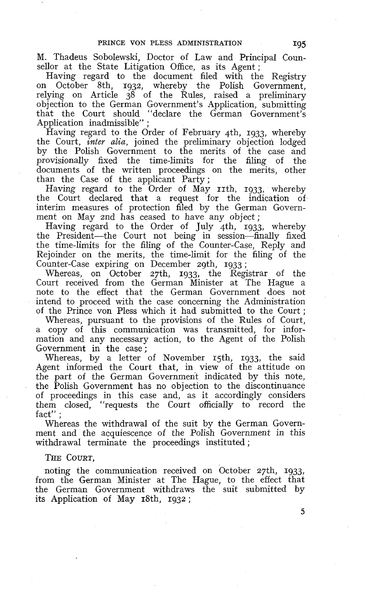M. Thadeus Sobolewski, Doctor of Law and Principal Counsellor at the State Litigation Office, as its Agent;

Having regard to the document filed with the Registry on October 8th, 1932, whereby the PoIish Government, relying on Article 38 of the Rules, raised a preliminary objection to the German Government's Application, submitting that the Court should "declare the German Government's Application inadmissible":

Having regard to the Order of February 4th, 1933, whereby the Court, *inter alia*, joined the preliminary objection lodged by the Polish Government to the merits of the case and provisionally fixed the time-limits for the filing of the documents of the written proceedings on the merits, other than the Case of the applicant Party;

Having regard to the Order of May 11th, 1933, whereby the Court declared that a request for the indication of interim measures of protection filed by the German Government on May 2nd has ceased to have any object;

Having regard to the Order of July 4th, 1933, whereby the President-the Court not being in session-finally fixed the time-limits for the filing of the Counter-Case, Reply and Rejoinder on the merits, the time-limit for the filing of the Counter-Case expiring on December zgth, 1933 ;

Whereas, on October 27th, 1933, the Registrar of the Court received from the German Minister at The Hague a note to the effect that the German Government does not intend to proceed with the case concerning the Administration of the Prince von Pless which it had submitted to the Court ;

Whereas, pursuant to the provisions of the Rules of Court, a copy of this communication was transmitted, for information and any necessary action, to the Agent of the Polish Government in the case ;

Whereas, by a letter of November 15th, 1933, the said Agent informed the Court that, in view of the attitude on the part of the German Government indicated by this note, the Polish Government has no objection to the discontinuance of proceedings in this case and, as it accordingly considers them closed, "requests the Court officially to record the fact"

Whereas the withdrawal of the suit by the German Government and the acquiescence of the Polish Government in this withdrawal terminate the proceedings instituted ;

THE COURT,

noting the communication received on October 27th, 1933, from the German Minister at The Hague, to the effect that the German Government withdraws the suit submitted by its Application of May 18th, 1932 ;

**5**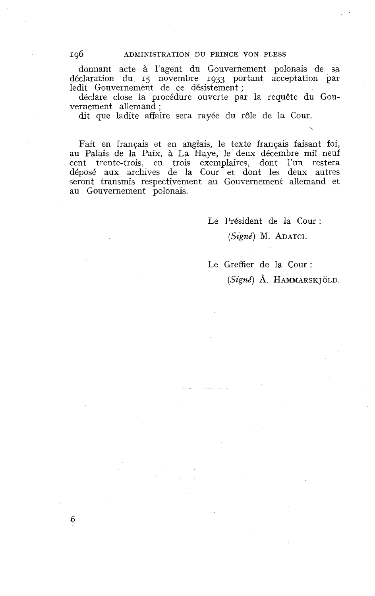donnant acte à l'agent du Gouvernement polonais de sa déclaration di1 **Ij** novembre **1933** portant acceptatiori par ledit Gouvernement de ce désistement ;

déclare close la procédure ouverte par la requête du Gouvernement allemand ;

dit que ladite affaire sera rayée du rôle de la Cour.

Fait en français et en anglais, le texte français faisant foi, au Palais de la Paix, à La Haye, le deux décembre mil neuf cent trente-trois, en trois exemplaires, dont l'un restera déposé aux archives de la Cour et dont les deux autres seront transmis respectivement au Gouvernement allemand et au Gouvernement polonais.

Le Président de la Cour :

#### *(Signé)* M. ADATCI.

Le Greffier de la Cour : *(Signé)* A. HAMMARSK JOLD.